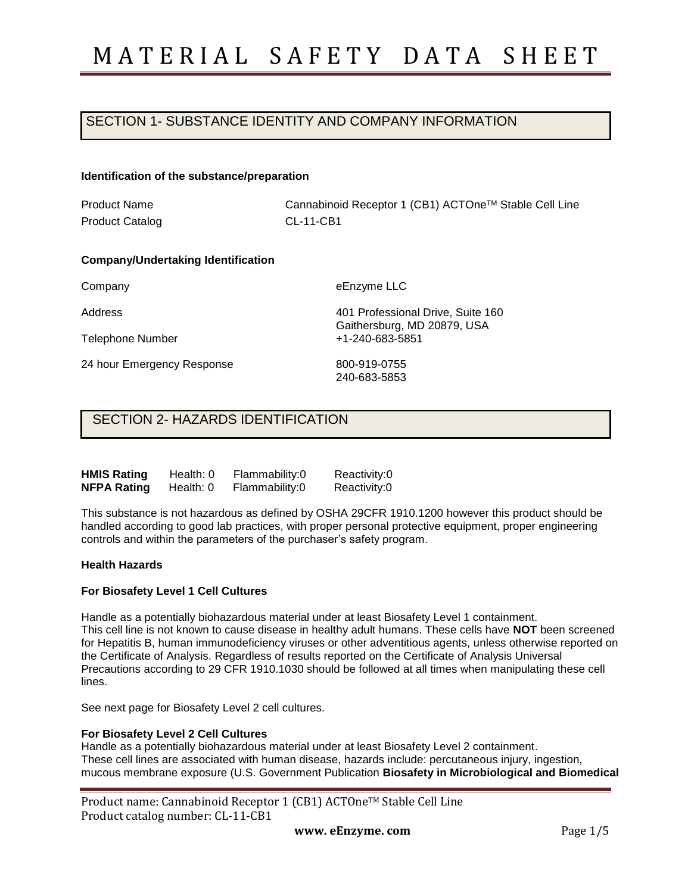## SECTION 1- SUBSTANCE IDENTITY AND COMPANY INFORMATION

#### **Identification of the substance/preparation**

Product Name Product Catalog Cannabinoid Receptor 1 (CB1) ACTOneTM Stable Cell Line CL-11-CB1

### **Company/Undertaking Identification**

Company

Address

Telephone Number

24 hour Emergency Response

eEnzyme LLC

401 Professional Drive, Suite 160 Gaithersburg, MD 20879, USA +1-240-683-5851

800-919-0755 240-683-5853

### SECTION 2- HAZARDS IDENTIFICATION

| <b>HMIS Rating</b> | Health: 0 | Flammability:0 | Reactivity:0 |
|--------------------|-----------|----------------|--------------|
| <b>NFPA Rating</b> | Health: 0 | Flammability:0 | Reactivity:0 |

This substance is not hazardous as defined by OSHA 29CFR 1910.1200 however this product should be handled according to good lab practices, with proper personal protective equipment, proper engineering controls and within the parameters of the purchaser's safety program.

#### **Health Hazards**

### **For Biosafety Level 1 Cell Cultures**

Handle as a potentially biohazardous material under at least Biosafety Level 1 containment. This cell line is not known to cause disease in healthy adult humans. These cells have **NOT** been screened for Hepatitis B, human immunodeficiency viruses or other adventitious agents, unless otherwise reported on the Certificate of Analysis. Regardless of results reported on the Certificate of Analysis Universal Precautions according to 29 CFR 1910.1030 should be followed at all times when manipulating these cell lines.

See next page for Biosafety Level 2 cell cultures.

#### **For Biosafety Level 2 Cell Cultures**

Handle as a potentially biohazardous material under at least Biosafety Level 2 containment. These cell lines are associated with human disease, hazards include: percutaneous injury, ingestion, mucous membrane exposure (U.S. Government Publication **Biosafety in Microbiological and Biomedical** 

| Product name: Cannabinoid Receptor 1 (CB1) ACTOne™ Stable Cell Line |  |
|---------------------------------------------------------------------|--|
| Product catalog number: CL-11-CB1                                   |  |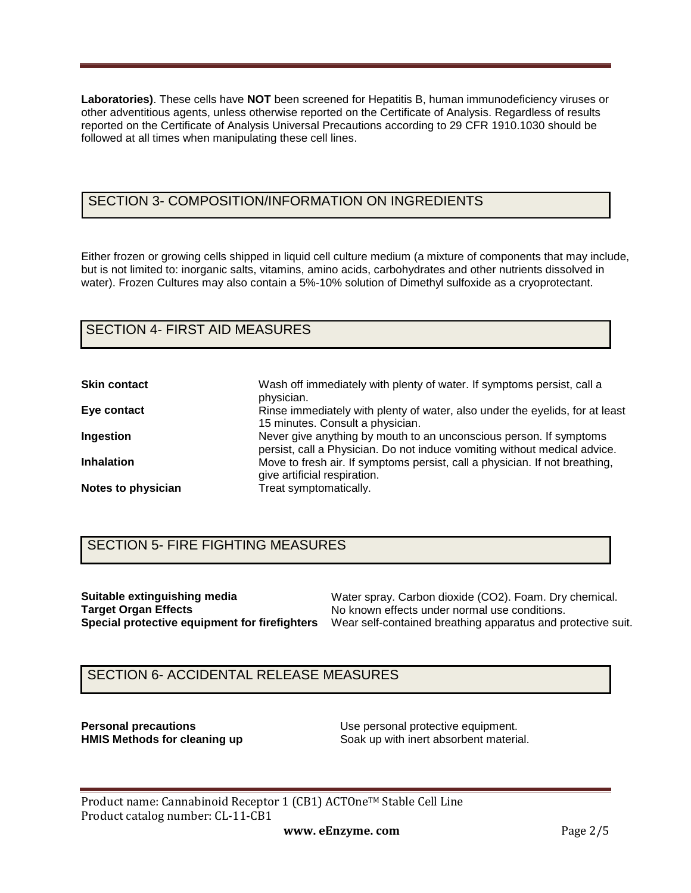**Laboratories)**. These cells have **NOT** been screened for Hepatitis B, human immunodeficiency viruses or other adventitious agents, unless otherwise reported on the Certificate of Analysis. Regardless of results reported on the Certificate of Analysis Universal Precautions according to 29 CFR 1910.1030 should be followed at all times when manipulating these cell lines.

# SECTION 3- COMPOSITION/INFORMATION ON INGREDIENTS

Either frozen or growing cells shipped in liquid cell culture medium (a mixture of components that may include, but is not limited to: inorganic salts, vitamins, amino acids, carbohydrates and other nutrients dissolved in water). Frozen Cultures may also contain a 5%-10% solution of Dimethyl sulfoxide as a cryoprotectant.

### SECTION 4- FIRST AID MEASURES

| <b>Skin contact</b> | Wash off immediately with plenty of water. If symptoms persist, call a<br>physician.                                                            |
|---------------------|-------------------------------------------------------------------------------------------------------------------------------------------------|
| Eye contact         | Rinse immediately with plenty of water, also under the eyelids, for at least<br>15 minutes. Consult a physician.                                |
| Ingestion           | Never give anything by mouth to an unconscious person. If symptoms<br>persist, call a Physician. Do not induce vomiting without medical advice. |
| <b>Inhalation</b>   | Move to fresh air. If symptoms persist, call a physician. If not breathing,<br>give artificial respiration.                                     |
| Notes to physician  | Treat symptomatically.                                                                                                                          |

## SECTION 5- FIRE FIGHTING MEASURES

**Suitable extinguishing media Target Organ Effects**

**Special protective equipment for firefighters**  Wear self-contained breathing apparatus and protective suit. Water spray. Carbon dioxide (CO2). Foam. Dry chemical. No known effects under normal use conditions.

# SECTION 6- ACCIDENTAL RELEASE MEASURES

**Personal precautions**<br> **HMIS Methods for cleaning up**<br> **Coak up with inert absorbent material** Soak up with inert absorbent material.

Product name: Cannabinoid Receptor 1 (CB1) ACTOne™ Stable Cell Line Product catalog number: CL-11-CB1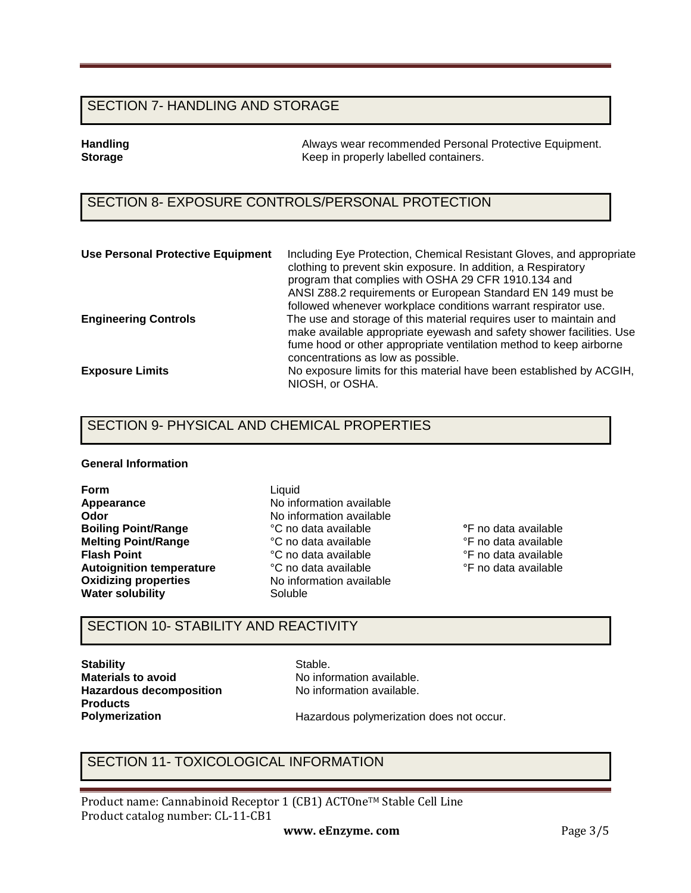### SECTION 7- HANDLING AND STORAGE

**Handling Tandling 1986** Always wear recommended Personal Protective Equipment.<br> **Storage** The Reep in properly labelled containers. **Storage** Keep in properly labelled containers.

# SECTION 8- EXPOSURE CONTROLS/PERSONAL PROTECTION

| <b>Use Personal Protective Equipment</b> | Including Eye Protection, Chemical Resistant Gloves, and appropriate<br>clothing to prevent skin exposure. In addition, a Respiratory<br>program that complies with OSHA 29 CFR 1910.134 and<br>ANSI Z88.2 requirements or European Standard EN 149 must be<br>followed whenever workplace conditions warrant respirator use. |
|------------------------------------------|-------------------------------------------------------------------------------------------------------------------------------------------------------------------------------------------------------------------------------------------------------------------------------------------------------------------------------|
| <b>Engineering Controls</b>              | The use and storage of this material requires user to maintain and<br>make available appropriate eyewash and safety shower facilities. Use<br>fume hood or other appropriate ventilation method to keep airborne<br>concentrations as low as possible.                                                                        |
| <b>Exposure Limits</b>                   | No exposure limits for this material have been established by ACGIH,<br>NIOSH, or OSHA.                                                                                                                                                                                                                                       |

## SECTION 9- PHYSICAL AND CHEMICAL PROPERTIES

### **General Information**

**Form Appearance Odor Boiling Point/Range Melting Point/Range Flash Point Autoignition temperature Oxidizing properties Water solubility**

Liquid No information available No information available °C no data available °C no data available °C no data available °C no data available No information available Soluble

**°**F no data available °F no data available °F no data available °F no data available

## SECTION 10- STABILITY AND REACTIVITY

**Stability Materials to avoid Hazardous decomposition Products Polymerization** 

Stable. No information available. No information available.

Hazardous polymerization does not occur.

### SECTION 11- TOXICOLOGICAL INFORMATION

Product name: Cannabinoid Receptor 1 (CB1) ACTOne™ Stable Cell Line Product catalog number: CL-11-CB1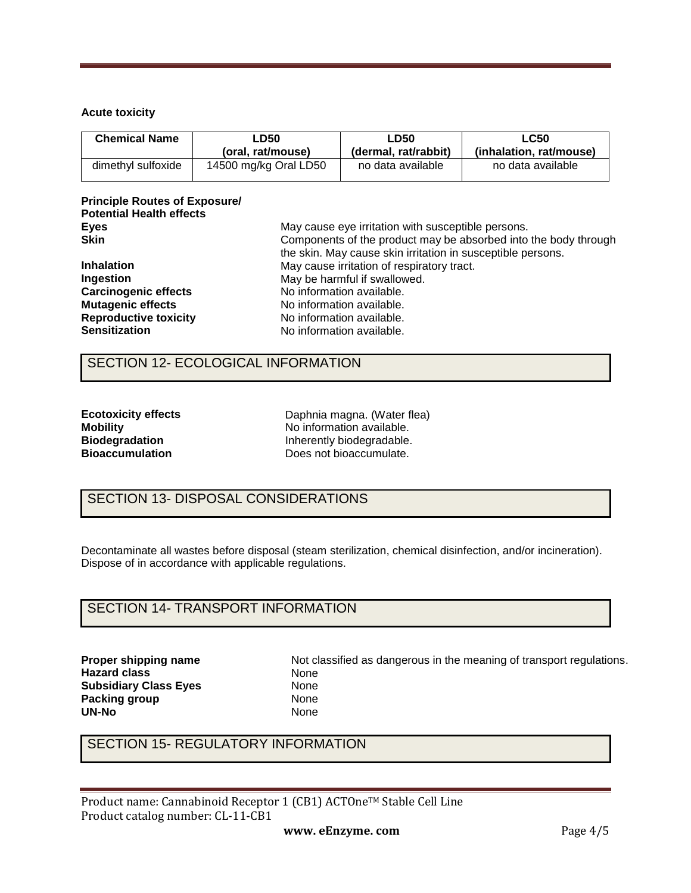### **Acute toxicity**

| <b>Chemical Name</b><br>∟D50 |                       | LD50                 | <b>LC50</b>             |  |
|------------------------------|-----------------------|----------------------|-------------------------|--|
|                              | (oral. rat/mouse)     | (dermal, rat/rabbit) | (inhalation. rat/mouse) |  |
| dimethyl sulfoxide           | 14500 mg/kg Oral LD50 | no data available    | no data available       |  |

### **Principle Routes of Exposure/ Potential Health effects Eyes Skin**

| Components of the product may be absorbed into the body through |
|-----------------------------------------------------------------|
| the skin. May cause skin irritation in susceptible persons.     |
|                                                                 |
|                                                                 |
|                                                                 |
|                                                                 |
|                                                                 |
|                                                                 |
|                                                                 |

May cause eye irritation with susceptible persons.

### SECTION 12- ECOLOGICAL INFORMATION

| <b>Ecotoxicity effects</b> |
|----------------------------|
| <b>Mobility</b>            |
| <b>Biodegradation</b>      |
| <b>Bioaccumulation</b>     |

Daphnia magna. (Water flea) No information available. Inherently biodegradable. Does not bioaccumulate.

# SECTION 13- DISPOSAL CONSIDERATIONS

Decontaminate all wastes before disposal (steam sterilization, chemical disinfection, and/or incineration). Dispose of in accordance with applicable regulations.

## SECTION 14- TRANSPORT INFORMATION

**Proper shipping name Hazard class Subsidiary Class Eyes Packing group UN-No** 

Not classified as dangerous in the meaning of transport regulations. None None None None

# SECTION 15- REGULATORY INFORMATION

Product name: Cannabinoid Receptor 1 (CB1) ACTOne™ Stable Cell Line Product catalog number: CL-11-CB1